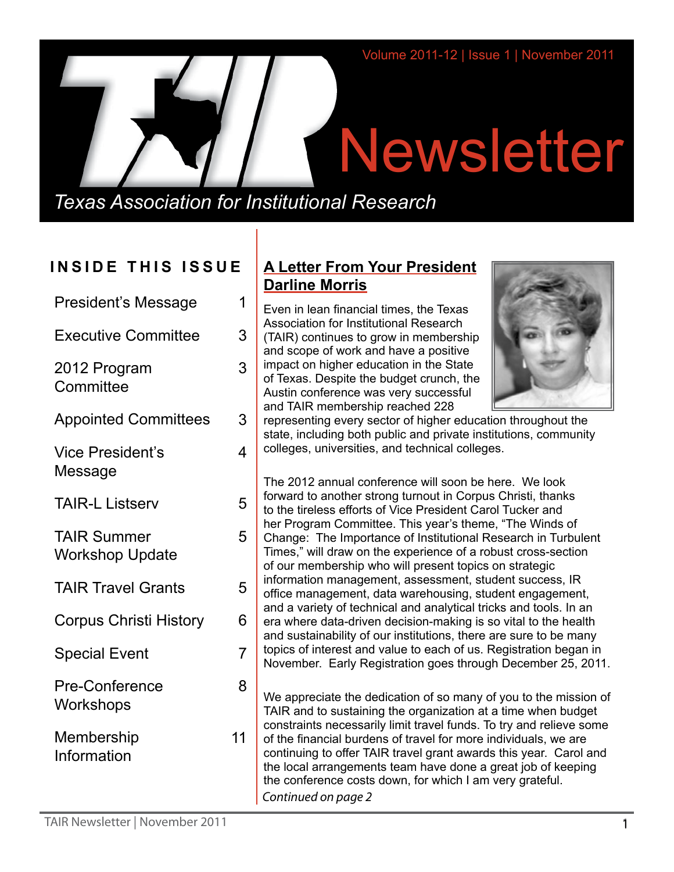# **Newsletter**

*Texas Association for Institutional Research*

# **INSIDE THIS ISSUE**

| <b>President's Message</b>                   | 1  |
|----------------------------------------------|----|
| <b>Executive Committee</b>                   | 3  |
| 2012 Program<br>Committee                    | 3  |
| <b>Appointed Committees</b>                  | 3  |
| <b>Vice President's</b><br>Message           | 4  |
| <b>TAIR-L Listserv</b>                       | 5  |
| <b>TAIR Summer</b><br><b>Workshop Update</b> | 5  |
| <b>TAIR Travel Grants</b>                    | 5  |
| <b>Corpus Christi History</b>                | 6  |
| <b>Special Event</b>                         | 7  |
| <b>Pre-Conference</b><br>Workshops           | 8  |
| Membership<br>Information                    | 11 |
|                                              |    |

# **A Letter From Your President Darline Morris**

Even in lean financial times, the Texas Association for Institutional Research (TAIR) continues to grow in membership and scope of work and have a positive impact on higher education in the State of Texas. Despite the budget crunch, the Austin conference was very successful and TAIR membership reached 228



representing every sector of higher education throughout the state, including both public and private institutions, community colleges, universities, and technical colleges.

The 2012 annual conference will soon be here. We look forward to another strong turnout in Corpus Christi, thanks to the tireless efforts of Vice President Carol Tucker and her Program Committee. This year's theme, "The Winds of Change: The Importance of Institutional Research in Turbulent Times," will draw on the experience of a robust cross-section of our membership who will present topics on strategic information management, assessment, student success, IR office management, data warehousing, student engagement, and a variety of technical and analytical tricks and tools. In an era where data-driven decision-making is so vital to the health and sustainability of our institutions, there are sure to be many topics of interest and value to each of us. Registration began in November. Early Registration goes through December 25, 2011.

We appreciate the dedication of so many of you to the mission of TAIR and to sustaining the organization at a time when budget constraints necessarily limit travel funds. To try and relieve some of the financial burdens of travel for more individuals, we are continuing to offer TAIR travel grant awards this year. Carol and the local arrangements team have done a great job of keeping the conference costs down, for which I am very grateful. *Continued on page 2*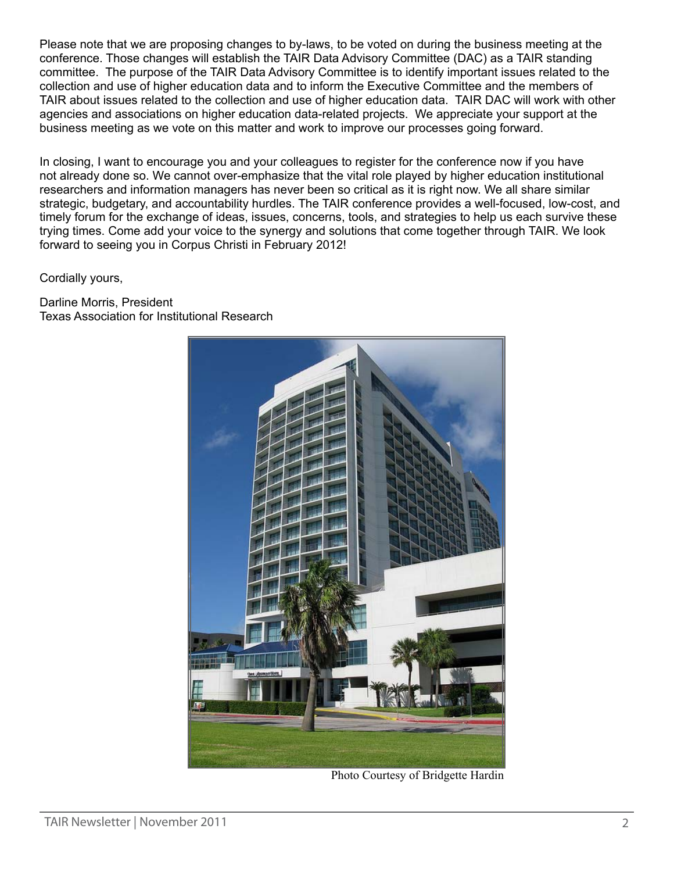Please note that we are proposing changes to by-laws, to be voted on during the business meeting at the conference. Those changes will establish the TAIR Data Advisory Committee (DAC) as a TAIR standing committee. The purpose of the TAIR Data Advisory Committee is to identify important issues related to the collection and use of higher education data and to inform the Executive Committee and the members of TAIR about issues related to the collection and use of higher education data. TAIR DAC will work with other agencies and associations on higher education data-related projects. We appreciate your support at the business meeting as we vote on this matter and work to improve our processes going forward.

In closing, I want to encourage you and your colleagues to register for the conference now if you have not already done so. We cannot over-emphasize that the vital role played by higher education institutional researchers and information managers has never been so critical as it is right now. We all share similar strategic, budgetary, and accountability hurdles. The TAIR conference provides a well-focused, low-cost, and timely forum for the exchange of ideas, issues, concerns, tools, and strategies to help us each survive these trying times. Come add your voice to the synergy and solutions that come together through TAIR. We look forward to seeing you in Corpus Christi in February 2012!

Cordially yours,

Darline Morris, President Texas Association for Institutional Research



Photo Courtesy of Bridgette Hardin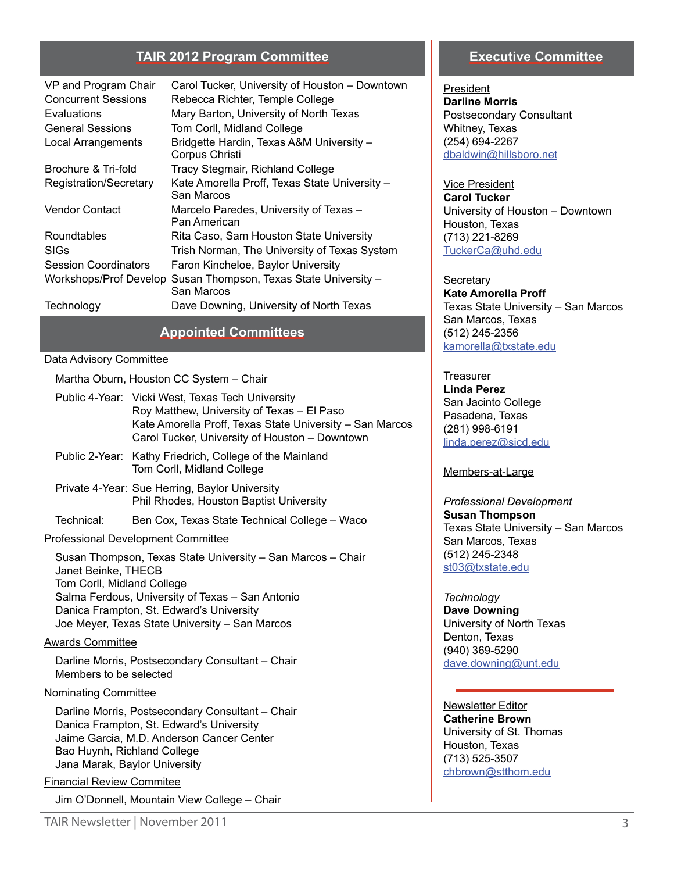#### **TAIR 2012 Program Committee**

| VP and Program Chair        | Carol Tucker, University of Houston - Downtown              |
|-----------------------------|-------------------------------------------------------------|
| <b>Concurrent Sessions</b>  | Rebecca Richter, Temple College                             |
| Evaluations                 | Mary Barton, University of North Texas                      |
| <b>General Sessions</b>     | Tom Corll, Midland College                                  |
| Local Arrangements          | Bridgette Hardin, Texas A&M University -<br>Corpus Christi  |
| Brochure & Tri-fold         | Tracy Stegmair, Richland College                            |
| Registration/Secretary      | Kate Amorella Proff, Texas State University -<br>San Marcos |
| <b>Vendor Contact</b>       | Marcelo Paredes, University of Texas -<br>Pan American      |
| Roundtables                 | Rita Caso, Sam Houston State University                     |
| SIGs                        | Trish Norman, The University of Texas System                |
| <b>Session Coordinators</b> | Faron Kincheloe, Baylor University                          |
| Workshops/Prof Develop      | Susan Thompson, Texas State University -<br>San Marcos      |
| Technology                  | Dave Downing, University of North Texas                     |

#### **Appointed Committees**

#### Data Advisory Committee

Martha Oburn, Houston CC System – Chair

- Public 4-Year: Vicki West, Texas Tech University Roy Matthew, University of Texas – El Paso Kate Amorella Proff, Texas State University – San Marcos Carol Tucker, University of Houston – Downtown
- Public 2-Year: Kathy Friedrich, College of the Mainland Tom Corll, Midland College
- Private 4-Year: Sue Herring, Baylor University Phil Rhodes, Houston Baptist University

Technical: Ben Cox, Texas State Technical College – Waco

#### Professional Development Committee

Susan Thompson, Texas State University – San Marcos – Chair Janet Beinke, THECB Tom Corll, Midland College Salma Ferdous, University of Texas – San Antonio Danica Frampton, St. Edward's University Joe Meyer, Texas State University – San Marcos

#### Awards Committee

Darline Morris, Postsecondary Consultant – Chair Members to be selected

#### Nominating Committee

Darline Morris, Postsecondary Consultant – Chair Danica Frampton, St. Edward's University Jaime Garcia, M.D. Anderson Cancer Center Bao Huynh, Richland College Jana Marak, Baylor University

#### Financial Review Commitee

Jim O'Donnell, Mountain View College – Chair

#### **Executive Committee**

President **Darline Morris** Postsecondary Consultant Whitney, Texas (254) 694-2267 [dbaldwin@hillsboro.net](mailto:dbalwin%40hillsboro.net?subject=)

Vice President **Carol Tucker** University of Houston – Downtown Houston, Texas (713) 221-8269 [TuckerCa@uhd.edu](mailto:TuckerCa%40uhd.edu?subject=)

**Secretary Kate Amorella Proff** Texas State University – San Marcos San Marcos, Texas (512) 245-2356 [kamorella@txstate.edu](mailto:kamorella%40txstate.edu?subject=)

#### **Treasurer**

**Linda Perez** San Jacinto College Pasadena, Texas (281) 998-6191 [linda.perez@sjcd.edu](mailto:linda.perez%40sjcd.edu?subject=)

Members-at-Large

*Professional Development*  **Susan Thompson** Texas State University – San Marcos San Marcos, Texas (512) 245-2348 [st03@txstate.edu](mailto:st03%40txstate.edu?subject=)

*Technology* **Dave Downing** University of North Texas Denton, Texas (940) 369-5290 [dave.downing@unt.edu](mailto:dave.downing%40unt.edu?subject=)

Newsletter Editor **Catherine Brown** University of St. Thomas Houston, Texas (713) 525-3507 [chbrown@stthom.edu](mailto:chbrown%40stthom.edu?subject=)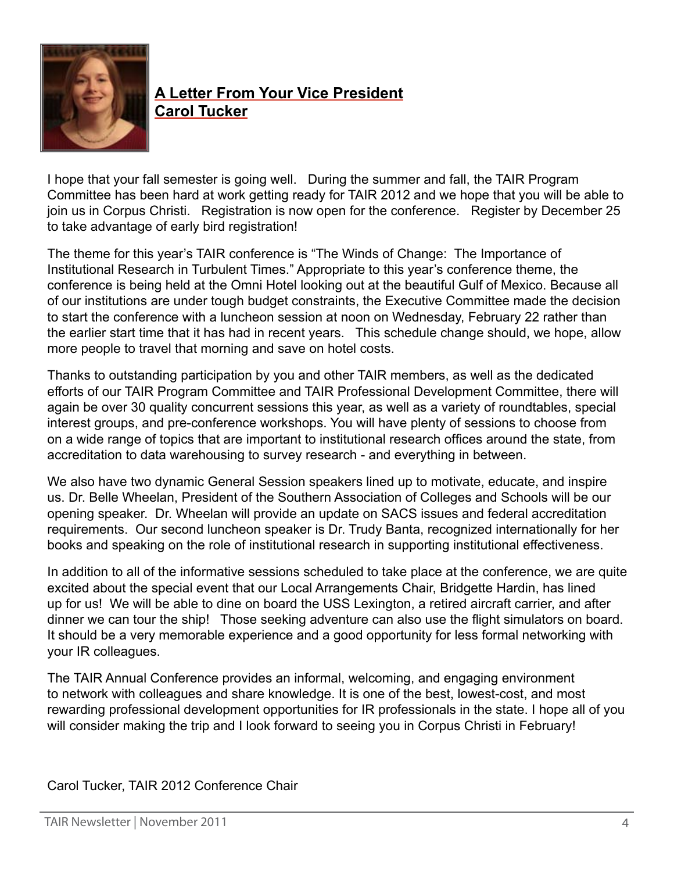

# **A Letter From Your Vice President Carol Tucker**

I hope that your fall semester is going well. During the summer and fall, the TAIR Program Committee has been hard at work getting ready for TAIR 2012 and we hope that you will be able to join us in Corpus Christi. Registration is now open for the conference. Register by December 25 to take advantage of early bird registration!

The theme for this year's TAIR conference is "The Winds of Change: The Importance of Institutional Research in Turbulent Times." Appropriate to this year's conference theme, the conference is being held at the Omni Hotel looking out at the beautiful Gulf of Mexico. Because all of our institutions are under tough budget constraints, the Executive Committee made the decision to start the conference with a luncheon session at noon on Wednesday, February 22 rather than the earlier start time that it has had in recent years. This schedule change should, we hope, allow more people to travel that morning and save on hotel costs.

Thanks to outstanding participation by you and other TAIR members, as well as the dedicated efforts of our TAIR Program Committee and TAIR Professional Development Committee, there will again be over 30 quality concurrent sessions this year, as well as a variety of roundtables, special interest groups, and pre-conference workshops. You will have plenty of sessions to choose from on a wide range of topics that are important to institutional research offices around the state, from accreditation to data warehousing to survey research - and everything in between.

We also have two dynamic General Session speakers lined up to motivate, educate, and inspire us. Dr. Belle Wheelan, President of the Southern Association of Colleges and Schools will be our opening speaker. Dr. Wheelan will provide an update on SACS issues and federal accreditation requirements. Our second luncheon speaker is Dr. Trudy Banta, recognized internationally for her books and speaking on the role of institutional research in supporting institutional effectiveness.

In addition to all of the informative sessions scheduled to take place at the conference, we are quite excited about the special event that our Local Arrangements Chair, Bridgette Hardin, has lined up for us! We will be able to dine on board the USS Lexington, a retired aircraft carrier, and after dinner we can tour the ship! Those seeking adventure can also use the flight simulators on board. It should be a very memorable experience and a good opportunity for less formal networking with your IR colleagues.

The TAIR Annual Conference provides an informal, welcoming, and engaging environment to network with colleagues and share knowledge. It is one of the best, lowest-cost, and most rewarding professional development opportunities for IR professionals in the state. I hope all of you will consider making the trip and I look forward to seeing you in Corpus Christi in February!

Carol Tucker, TAIR 2012 Conference Chair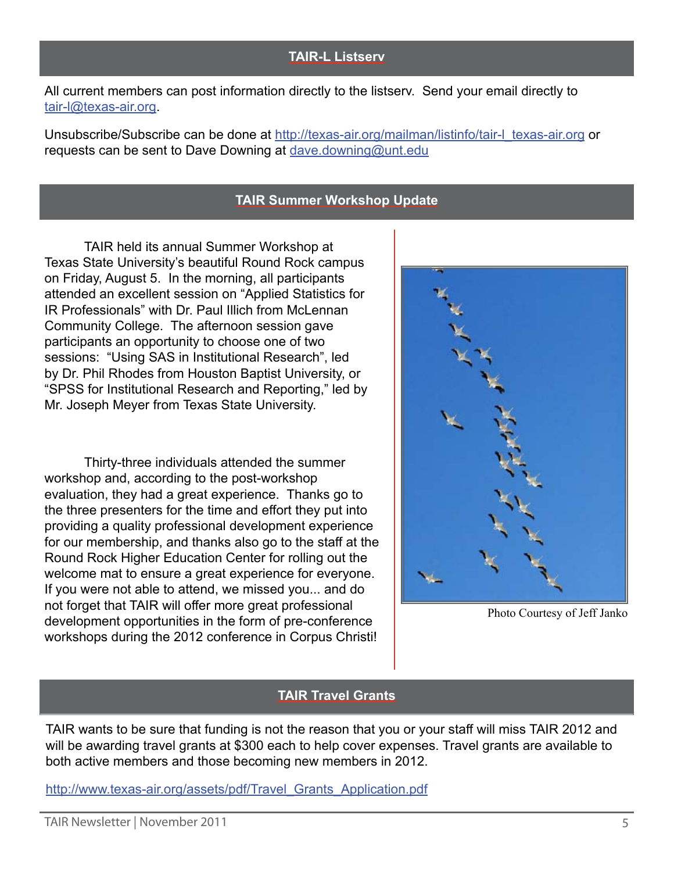## **TAIR-L Listserv**

All current members can post information directly to the listserv. Send your email directly to [tair-l@texas-air.org](mailto:tair-l%40texas-air.org?subject=).

Unsubscribe/Subscribe can be done at [http://texas-air.org/mailman/listinfo/tair-l\\_texas-air.org](http://texas-air.org/mailman/listinfo/tair-l_texas-air.org) or requests can be sent to Dave Downing at [dave.downing@unt.edu](mailto:dave.downing%40unt.edu?subject=)

## **TAIR Summer Workshop Update**

TAIR held its annual Summer Workshop at Texas State University's beautiful Round Rock campus on Friday, August 5. In the morning, all participants attended an excellent session on "Applied Statistics for IR Professionals" with Dr. Paul Illich from McLennan Community College. The afternoon session gave participants an opportunity to choose one of two sessions: "Using SAS in Institutional Research", led by Dr. Phil Rhodes from Houston Baptist University, or "SPSS for Institutional Research and Reporting," led by Mr. Joseph Meyer from Texas State University.

Thirty-three individuals attended the summer workshop and, according to the post-workshop evaluation, they had a great experience. Thanks go to the three presenters for the time and effort they put into providing a quality professional development experience for our membership, and thanks also go to the staff at the Round Rock Higher Education Center for rolling out the welcome mat to ensure a great experience for everyone. If you were not able to attend, we missed you... and do not forget that TAIR will offer more great professional development opportunities in the form of pre-conference workshops during the 2012 conference in Corpus Christi!



Photo Courtesy of Jeff Janko

## **TAIR Travel Grants**

TAIR wants to be sure that funding is not the reason that you or your staff will miss TAIR 2012 and will be awarding travel grants at \$300 each to help cover expenses. Travel grants are available to both active members and those becoming new members in 2012.

## [http://www.texas-air.org/assets/pdf/Travel\\_Grants\\_Application.pdf](http://www.texas-air.org/assets/pdf/Travel_Grants_Application.pdf)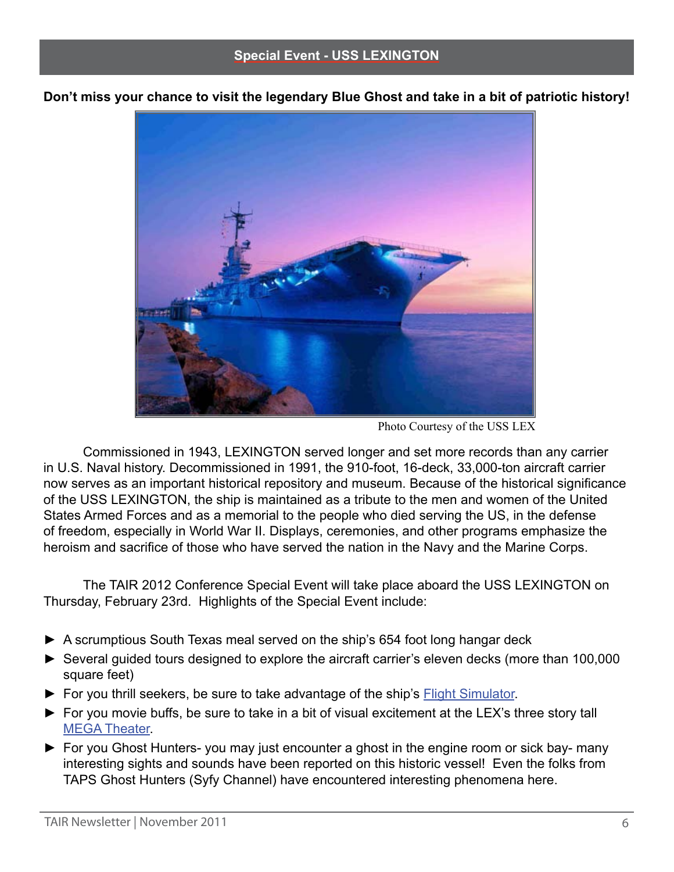**Don't miss your chance to visit the legendary Blue Ghost and take in a bit of patriotic history!**



Photo Courtesy of the USS LEX

Commissioned in 1943, LEXINGTON served longer and set more records than any carrier in U.S. Naval history. Decommissioned in 1991, the 910-foot, 16-deck, 33,000-ton aircraft carrier now serves as an important historical repository and museum. Because of the historical significance of the USS LEXINGTON, the ship is maintained as a tribute to the men and women of the United States Armed Forces and as a memorial to the people who died serving the US, in the defense of freedom, especially in World War II. Displays, ceremonies, and other programs emphasize the heroism and sacrifice of those who have served the nation in the Navy and the Marine Corps.

The TAIR 2012 Conference Special Event will take place aboard the USS LEXINGTON on Thursday, February 23rd. Highlights of the Special Event include:

- **►** A scrumptious South Texas meal served on the ship's 654 foot long hangar deck
- **►** Several guided tours designed to explore the aircraft carrier's eleven decks (more than 100,000 square feet)
- ► For you thrill seekers, be sure to take advantage of the ship's **[Flight Simulator](http://www.usslexington.com/index.php?option=com_content&task=view&id=5&Itemid=17)**.
- **►** For you movie buffs, be sure to take in a bit of visual excitement at the LEX's three story tall [MEGA Theater.](http://www.usslexington.com/index.php?option=com_content&task=view&id=4&Itemid=16)
- **►** For you Ghost Hunters- you may just encounter a ghost in the engine room or sick bay- many interesting sights and sounds have been reported on this historic vessel! Even the folks from TAPS Ghost Hunters (Syfy Channel) have encountered interesting phenomena here.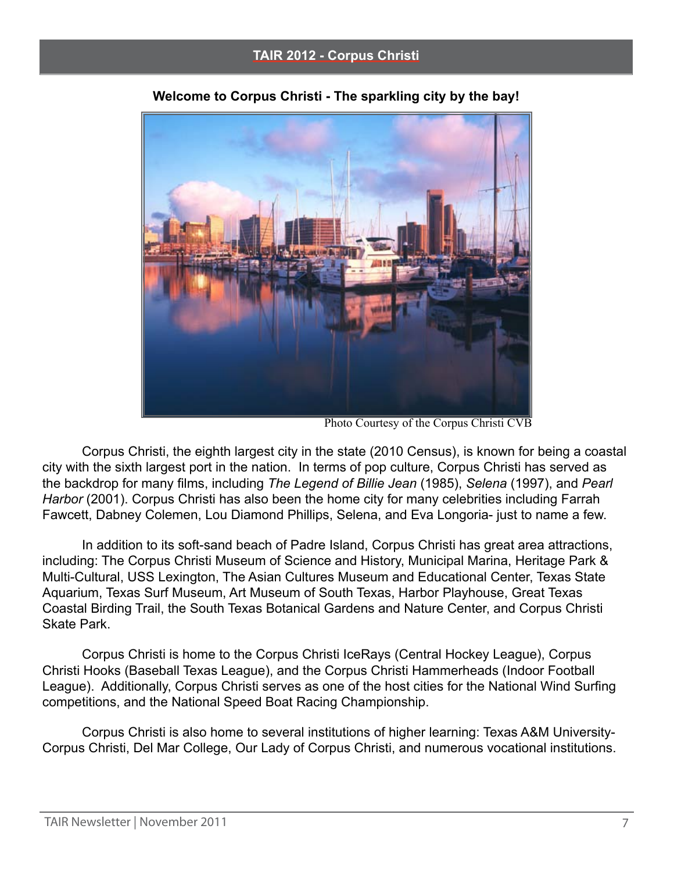

**Welcome to Corpus Christi - The sparkling city by the bay!**

Photo Courtesy of the Corpus Christi CVB

Corpus Christi, the eighth largest city in the state (2010 Census), is known for being a coastal city with the sixth largest port in the nation. In terms of pop culture, Corpus Christi has served as the backdrop for many films, including *The Legend of Billie Jean* (1985), *Selena* (1997), and *Pearl Harbor* (2001). Corpus Christi has also been the home city for many celebrities including Farrah Fawcett, Dabney Colemen, Lou Diamond Phillips, Selena, and Eva Longoria- just to name a few.

In addition to its soft-sand beach of Padre Island, Corpus Christi has great area attractions, including: The Corpus Christi Museum of Science and History, Municipal Marina, Heritage Park & Multi-Cultural, USS Lexington, The Asian Cultures Museum and Educational Center, Texas State Aquarium, Texas Surf Museum, Art Museum of South Texas, Harbor Playhouse, Great Texas Coastal Birding Trail, the South Texas Botanical Gardens and Nature Center, and Corpus Christi Skate Park.

Corpus Christi is home to the Corpus Christi IceRays (Central Hockey League), Corpus Christi Hooks (Baseball Texas League), and the Corpus Christi Hammerheads (Indoor Football League). Additionally, Corpus Christi serves as one of the host cities for the National Wind Surfing competitions, and the National Speed Boat Racing Championship.

Corpus Christi is also home to several institutions of higher learning: Texas A&M University-Corpus Christi, Del Mar College, Our Lady of Corpus Christi, and numerous vocational institutions.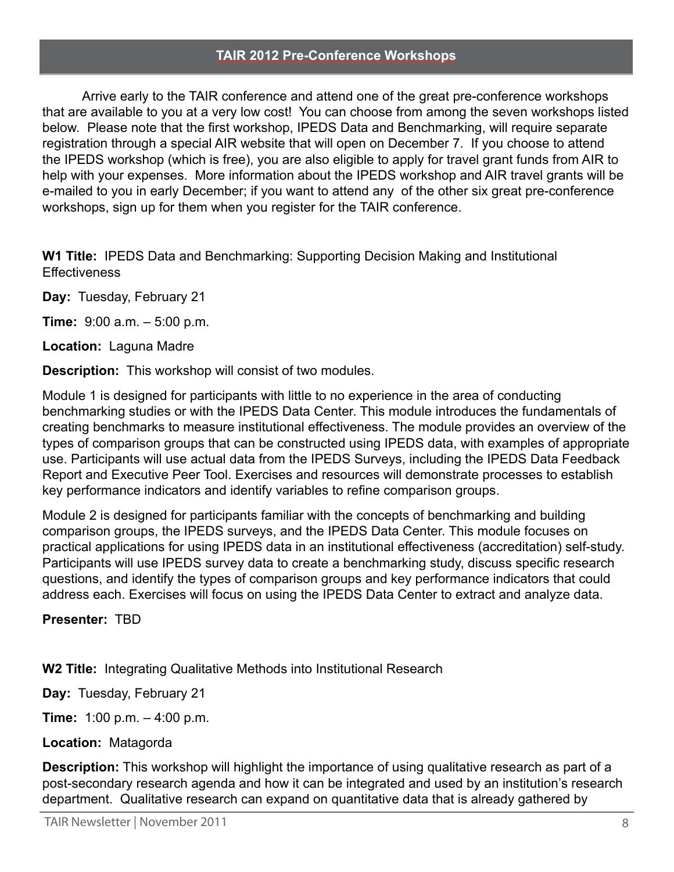#### **TAIR 2012 Pre-Conference Workshops**

Arrive early to the TAIR conference and attend one of the great pre-conference workshops that are available to you at a very low cost! You can choose from among the seven workshops listed below. Please note that the first workshop, IPEDS Data and Benchmarking, will require separate registration through a special AIR website that will open on December 7. If you choose to attend the IPEDS workshop (which is free), you are also eligible to apply for travel grant funds from AIR to help with your expenses. More information about the IPEDS workshop and AIR travel grants will be e-mailed to you in early December; if you want to attend any of the other six great pre-conference workshops, sign up for them when you register for the TAIR conference.

**W1 Title:** IPEDS Data and Benchmarking: Supporting Decision Making and Institutional **Effectiveness** 

**Day:** Tuesday, February 21

**Time:** 9:00 a.m. – 5:00 p.m.

**Location:** Laguna Madre

**Description:** This workshop will consist of two modules.

Module 1 is designed for participants with little to no experience in the area of conducting benchmarking studies or with the IPEDS Data Center. This module introduces the fundamentals of creating benchmarks to measure institutional effectiveness. The module provides an overview of the types of comparison groups that can be constructed using IPEDS data, with examples of appropriate use. Participants will use actual data from the IPEDS Surveys, including the IPEDS Data Feedback Report and Executive Peer Tool. Exercises and resources will demonstrate processes to establish key performance indicators and identify variables to refine comparison groups.

Module 2 is designed for participants familiar with the concepts of benchmarking and building comparison groups, the IPEDS surveys, and the IPEDS Data Center. This module focuses on practical applications for using IPEDS data in an institutional effectiveness (accreditation) self-study. Participants will use IPEDS survey data to create a benchmarking study, discuss specific research questions, and identify the types of comparison groups and key performance indicators that could address each. Exercises will focus on using the IPEDS Data Center to extract and analyze data.

**Presenter:** TBD

**W2 Title:** Integrating Qualitative Methods into Institutional Research

**Day:** Tuesday, February 21

**Time:** 1:00 p.m. – 4:00 p.m.

## **Location:** Matagorda

**Description:** This workshop will highlight the importance of using qualitative research as part of a post-secondary research agenda and how it can be integrated and used by an institution's research department. Qualitative research can expand on quantitative data that is already gathered by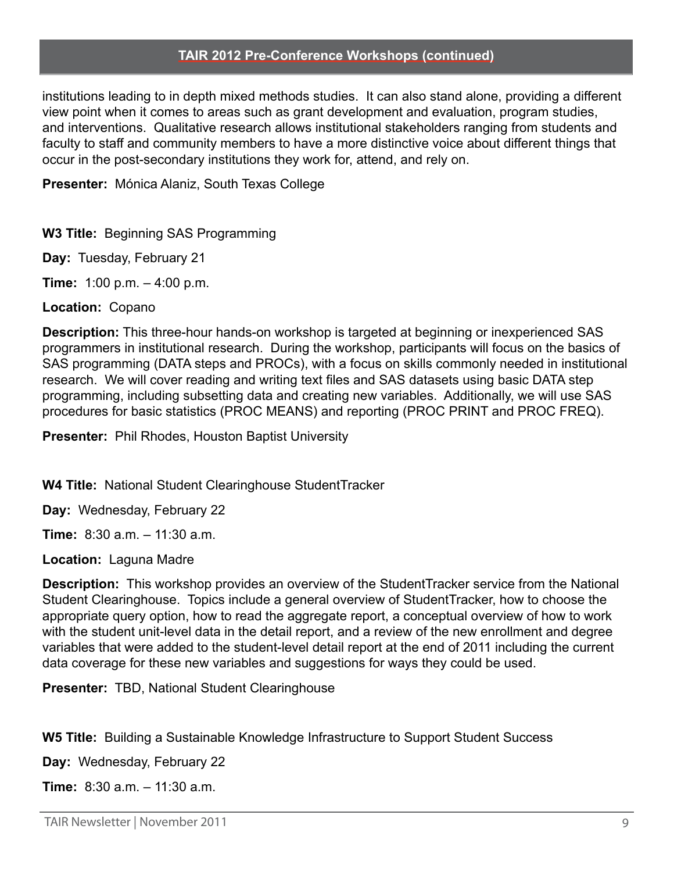#### **TAIR 2012 Pre-Conference Workshops (continued)**

institutions leading to in depth mixed methods studies. It can also stand alone, providing a different view point when it comes to areas such as grant development and evaluation, program studies, and interventions. Qualitative research allows institutional stakeholders ranging from students and faculty to staff and community members to have a more distinctive voice about different things that occur in the post-secondary institutions they work for, attend, and rely on.

**Presenter:** Mónica Alaniz, South Texas College

**W3 Title:** Beginning SAS Programming

**Day:** Tuesday, February 21

**Time:** 1:00 p.m. – 4:00 p.m.

**Location:** Copano

**Description:** This three-hour hands-on workshop is targeted at beginning or inexperienced SAS programmers in institutional research. During the workshop, participants will focus on the basics of SAS programming (DATA steps and PROCs), with a focus on skills commonly needed in institutional research. We will cover reading and writing text files and SAS datasets using basic DATA step programming, including subsetting data and creating new variables. Additionally, we will use SAS procedures for basic statistics (PROC MEANS) and reporting (PROC PRINT and PROC FREQ).

**Presenter:** Phil Rhodes, Houston Baptist University

**W4 Title:** National Student Clearinghouse StudentTracker

**Day:** Wednesday, February 22

**Time:** 8:30 a.m. – 11:30 a.m.

**Location:** Laguna Madre

**Description:** This workshop provides an overview of the StudentTracker service from the National Student Clearinghouse. Topics include a general overview of StudentTracker, how to choose the appropriate query option, how to read the aggregate report, a conceptual overview of how to work with the student unit-level data in the detail report, and a review of the new enrollment and degree variables that were added to the student-level detail report at the end of 2011 including the current data coverage for these new variables and suggestions for ways they could be used.

**Presenter:** TBD, National Student Clearinghouse

**W5 Title:** Building a Sustainable Knowledge Infrastructure to Support Student Success

**Day:** Wednesday, February 22

**Time:** 8:30 a.m. – 11:30 a.m.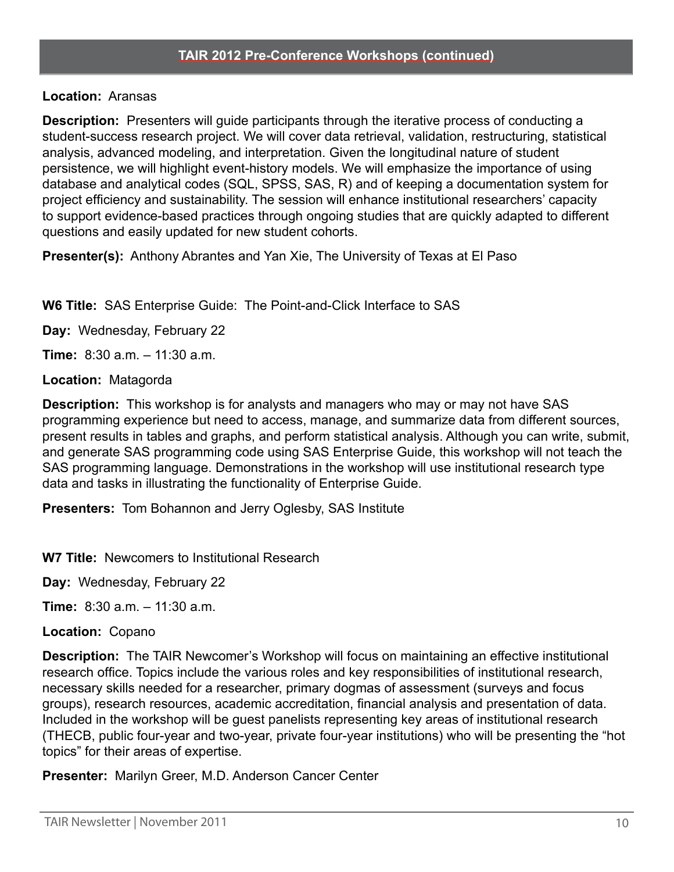## **Location:** Aransas

**Description:** Presenters will guide participants through the iterative process of conducting a student-success research project. We will cover data retrieval, validation, restructuring, statistical analysis, advanced modeling, and interpretation. Given the longitudinal nature of student persistence, we will highlight event-history models. We will emphasize the importance of using database and analytical codes (SQL, SPSS, SAS, R) and of keeping a documentation system for project efficiency and sustainability. The session will enhance institutional researchers' capacity to support evidence-based practices through ongoing studies that are quickly adapted to different questions and easily updated for new student cohorts.

**Presenter(s):** Anthony Abrantes and Yan Xie, The University of Texas at El Paso

**W6 Title:** SAS Enterprise Guide: The Point-and-Click Interface to SAS

**Day:** Wednesday, February 22

**Time:** 8:30 a.m. – 11:30 a.m.

## **Location:** Matagorda

**Description:** This workshop is for analysts and managers who may or may not have SAS programming experience but need to access, manage, and summarize data from different sources, present results in tables and graphs, and perform statistical analysis. Although you can write, submit, and generate SAS programming code using SAS Enterprise Guide, this workshop will not teach the SAS programming language. Demonstrations in the workshop will use institutional research type data and tasks in illustrating the functionality of Enterprise Guide.

**Presenters:** Tom Bohannon and Jerry Oglesby, SAS Institute

**W7 Title:** Newcomers to Institutional Research

**Day:** Wednesday, February 22

**Time:** 8:30 a.m. – 11:30 a.m.

**Location:** Copano

**Description:** The TAIR Newcomer's Workshop will focus on maintaining an effective institutional research office. Topics include the various roles and key responsibilities of institutional research, necessary skills needed for a researcher, primary dogmas of assessment (surveys and focus groups), research resources, academic accreditation, financial analysis and presentation of data. Included in the workshop will be guest panelists representing key areas of institutional research (THECB, public four-year and two-year, private four-year institutions) who will be presenting the "hot topics" for their areas of expertise.

**Presenter:** Marilyn Greer, M.D. Anderson Cancer Center